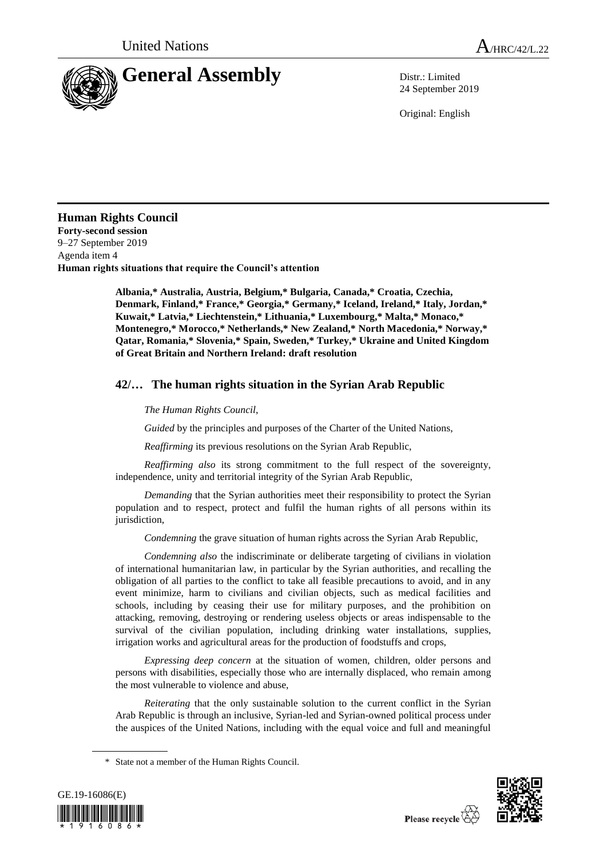

24 September 2019

Original: English

## **Human Rights Council**

**Forty-second session** 9–27 September 2019 Agenda item 4 **Human rights situations that require the Council's attention**

> **Albania,\* Australia, Austria, Belgium,\* Bulgaria, Canada,\* Croatia, Czechia, Denmark, Finland,\* France,\* Georgia,\* Germany,\* Iceland, Ireland,\* Italy, Jordan,\* Kuwait,\* Latvia,\* Liechtenstein,\* Lithuania,\* Luxembourg,\* Malta,\* Monaco,\* Montenegro,\* Morocco,\* Netherlands,\* New Zealand,\* North Macedonia,\* Norway,\* Qatar, Romania,\* Slovenia,\* Spain, Sweden,\* Turkey,\* Ukraine and United Kingdom of Great Britain and Northern Ireland: draft resolution**

## **42/… The human rights situation in the Syrian Arab Republic**

*The Human Rights Council*,

*Guided* by the principles and purposes of the Charter of the United Nations,

*Reaffirming* its previous resolutions on the Syrian Arab Republic,

*Reaffirming also* its strong commitment to the full respect of the sovereignty, independence, unity and territorial integrity of the Syrian Arab Republic,

*Demanding* that the Syrian authorities meet their responsibility to protect the Syrian population and to respect, protect and fulfil the human rights of all persons within its jurisdiction,

*Condemning* the grave situation of human rights across the Syrian Arab Republic,

*Condemning also* the indiscriminate or deliberate targeting of civilians in violation of international humanitarian law, in particular by the Syrian authorities, and recalling the obligation of all parties to the conflict to take all feasible precautions to avoid, and in any event minimize, harm to civilians and civilian objects, such as medical facilities and schools, including by ceasing their use for military purposes, and the prohibition on attacking, removing, destroying or rendering useless objects or areas indispensable to the survival of the civilian population, including drinking water installations, supplies, irrigation works and agricultural areas for the production of foodstuffs and crops,

*Expressing deep concern* at the situation of women, children, older persons and persons with disabilities, especially those who are internally displaced, who remain among the most vulnerable to violence and abuse,

*Reiterating* that the only sustainable solution to the current conflict in the Syrian Arab Republic is through an inclusive, Syrian-led and Syrian-owned political process under the auspices of the United Nations, including with the equal voice and full and meaningful

<sup>\*</sup> State not a member of the Human Rights Council.



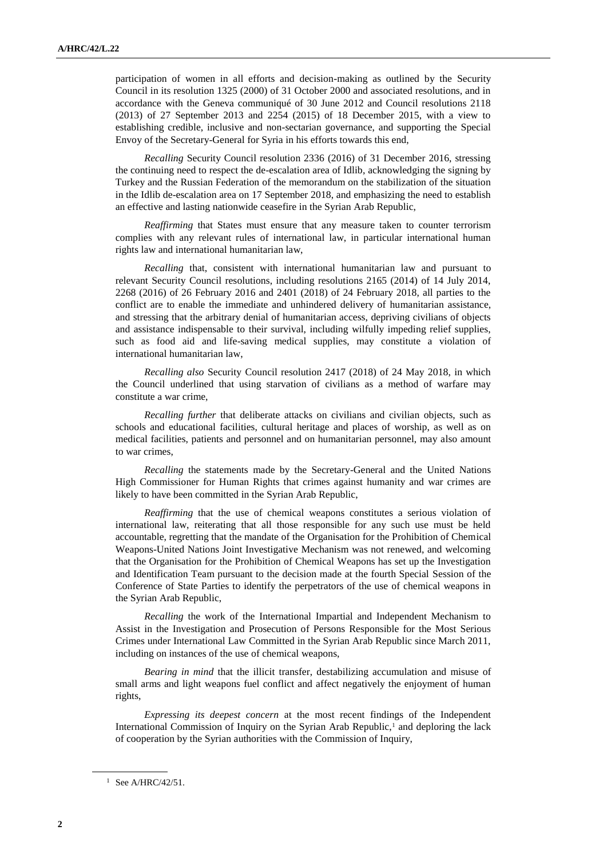participation of women in all efforts and decision-making as outlined by the Security Council in its resolution 1325 (2000) of 31 October 2000 and associated resolutions, and in accordance with the Geneva communiqué of 30 June 2012 and Council resolutions 2118 (2013) of 27 September 2013 and 2254 (2015) of 18 December 2015, with a view to establishing credible, inclusive and non-sectarian governance, and supporting the Special Envoy of the Secretary-General for Syria in his efforts towards this end,

*Recalling* Security Council resolution 2336 (2016) of 31 December 2016, stressing the continuing need to respect the de-escalation area of Idlib, acknowledging the signing by Turkey and the Russian Federation of the memorandum on the stabilization of the situation in the Idlib de-escalation area on 17 September 2018, and emphasizing the need to establish an effective and lasting nationwide ceasefire in the Syrian Arab Republic,

*Reaffirming* that States must ensure that any measure taken to counter terrorism complies with any relevant rules of international law, in particular international human rights law and international humanitarian law,

*Recalling* that, consistent with international humanitarian law and pursuant to relevant Security Council resolutions, including resolutions 2165 (2014) of 14 July 2014, 2268 (2016) of 26 February 2016 and 2401 (2018) of 24 February 2018, all parties to the conflict are to enable the immediate and unhindered delivery of humanitarian assistance, and stressing that the arbitrary denial of humanitarian access, depriving civilians of objects and assistance indispensable to their survival, including wilfully impeding relief supplies, such as food aid and life-saving medical supplies, may constitute a violation of international humanitarian law,

*Recalling also* Security Council resolution 2417 (2018) of 24 May 2018, in which the Council underlined that using starvation of civilians as a method of warfare may constitute a war crime,

*Recalling further* that deliberate attacks on civilians and civilian objects, such as schools and educational facilities, cultural heritage and places of worship, as well as on medical facilities, patients and personnel and on humanitarian personnel, may also amount to war crimes,

*Recalling* the statements made by the Secretary-General and the United Nations High Commissioner for Human Rights that crimes against humanity and war crimes are likely to have been committed in the Syrian Arab Republic,

*Reaffirming* that the use of chemical weapons constitutes a serious violation of international law, reiterating that all those responsible for any such use must be held accountable, regretting that the mandate of the Organisation for the Prohibition of Chemical Weapons-United Nations Joint Investigative Mechanism was not renewed, and welcoming that the Organisation for the Prohibition of Chemical Weapons has set up the Investigation and Identification Team pursuant to the decision made at the fourth Special Session of the Conference of State Parties to identify the perpetrators of the use of chemical weapons in the Syrian Arab Republic,

*Recalling* the work of the International Impartial and Independent Mechanism to Assist in the Investigation and Prosecution of Persons Responsible for the Most Serious Crimes under International Law Committed in the Syrian Arab Republic since March 2011, including on instances of the use of chemical weapons,

*Bearing in mind* that the illicit transfer, destabilizing accumulation and misuse of small arms and light weapons fuel conflict and affect negatively the enjoyment of human rights,

*Expressing its deepest concern* at the most recent findings of the Independent International Commission of Inquiry on the Syrian Arab Republic,<sup>1</sup> and deploring the lack of cooperation by the Syrian authorities with the Commission of Inquiry,

 $1$  See A/HRC/42/51.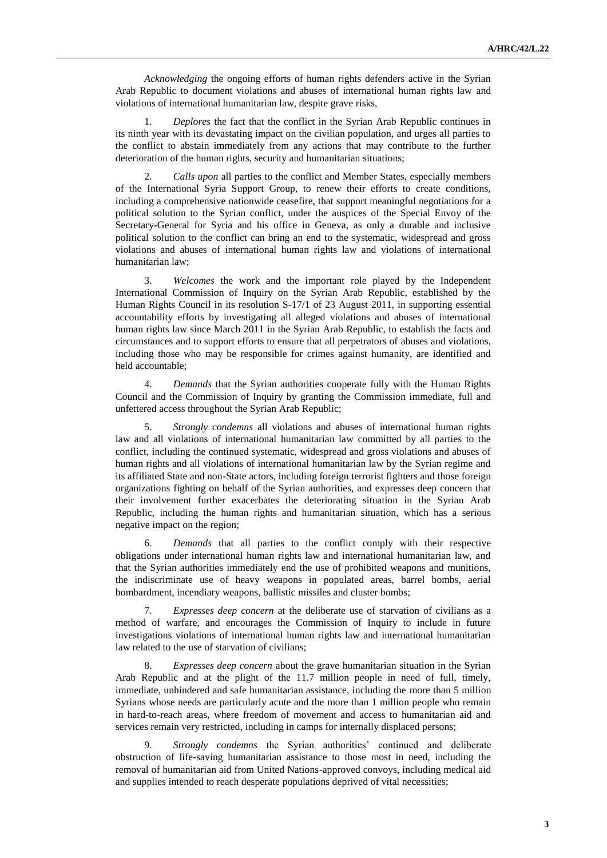*Acknowledging* the ongoing efforts of human rights defenders active in the Syrian Arab Republic to document violations and abuses of international human rights law and violations of international humanitarian law, despite grave risks,

1. *Deplores* the fact that the conflict in the Syrian Arab Republic continues in its ninth year with its devastating impact on the civilian population, and urges all parties to the conflict to abstain immediately from any actions that may contribute to the further deterioration of the human rights, security and humanitarian situations;

2. *Calls upon* all parties to the conflict and Member States, especially members of the International Syria Support Group, to renew their efforts to create conditions, including a comprehensive nationwide ceasefire, that support meaningful negotiations for a political solution to the Syrian conflict, under the auspices of the Special Envoy of the Secretary-General for Syria and his office in Geneva, as only a durable and inclusive political solution to the conflict can bring an end to the systematic, widespread and gross violations and abuses of international human rights law and violations of international humanitarian law;

3. *Welcomes* the work and the important role played by the Independent International Commission of Inquiry on the Syrian Arab Republic, established by the Human Rights Council in its resolution S-17/1 of 23 August 2011, in supporting essential accountability efforts by investigating all alleged violations and abuses of international human rights law since March 2011 in the Syrian Arab Republic, to establish the facts and circumstances and to support efforts to ensure that all perpetrators of abuses and violations, including those who may be responsible for crimes against humanity, are identified and held accountable;

4. *Demands* that the Syrian authorities cooperate fully with the Human Rights Council and the Commission of Inquiry by granting the Commission immediate, full and unfettered access throughout the Syrian Arab Republic;

5. *Strongly condemns* all violations and abuses of international human rights law and all violations of international humanitarian law committed by all parties to the conflict, including the continued systematic, widespread and gross violations and abuses of human rights and all violations of international humanitarian law by the Syrian regime and its affiliated State and non-State actors, including foreign terrorist fighters and those foreign organizations fighting on behalf of the Syrian authorities, and expresses deep concern that their involvement further exacerbates the deteriorating situation in the Syrian Arab Republic, including the human rights and humanitarian situation, which has a serious negative impact on the region;

6. *Demands* that all parties to the conflict comply with their respective obligations under international human rights law and international humanitarian law, and that the Syrian authorities immediately end the use of prohibited weapons and munitions, the indiscriminate use of heavy weapons in populated areas, barrel bombs, aerial bombardment, incendiary weapons, ballistic missiles and cluster bombs;

7. *Expresses deep concern* at the deliberate use of starvation of civilians as a method of warfare, and encourages the Commission of Inquiry to include in future investigations violations of international human rights law and international humanitarian law related to the use of starvation of civilians;

8. *Expresses deep concern* about the grave humanitarian situation in the Syrian Arab Republic and at the plight of the 11.7 million people in need of full, timely, immediate, unhindered and safe humanitarian assistance, including the more than 5 million Syrians whose needs are particularly acute and the more than 1 million people who remain in hard-to-reach areas, where freedom of movement and access to humanitarian aid and services remain very restricted, including in camps for internally displaced persons;

9. *Strongly condemns* the Syrian authorities' continued and deliberate obstruction of life-saving humanitarian assistance to those most in need, including the removal of humanitarian aid from United Nations-approved convoys, including medical aid and supplies intended to reach desperate populations deprived of vital necessities;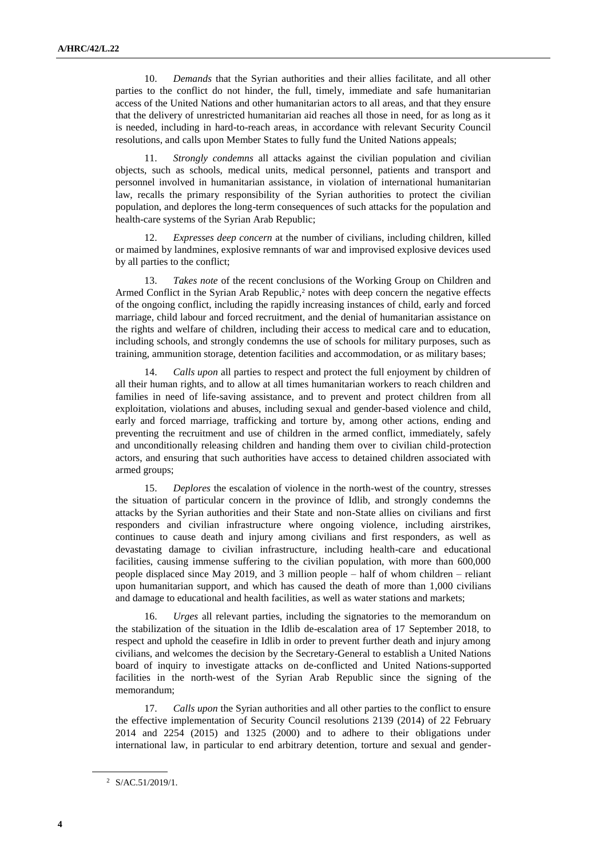10. *Demands* that the Syrian authorities and their allies facilitate, and all other parties to the conflict do not hinder, the full, timely, immediate and safe humanitarian access of the United Nations and other humanitarian actors to all areas, and that they ensure that the delivery of unrestricted humanitarian aid reaches all those in need, for as long as it is needed, including in hard-to-reach areas, in accordance with relevant Security Council resolutions, and calls upon Member States to fully fund the United Nations appeals;

Strongly condemns all attacks against the civilian population and civilian objects, such as schools, medical units, medical personnel, patients and transport and personnel involved in humanitarian assistance, in violation of international humanitarian law, recalls the primary responsibility of the Syrian authorities to protect the civilian population, and deplores the long-term consequences of such attacks for the population and health-care systems of the Syrian Arab Republic;

12. *Expresses deep concern* at the number of civilians, including children, killed or maimed by landmines, explosive remnants of war and improvised explosive devices used by all parties to the conflict;

13. *Takes note* of the recent conclusions of the Working Group on Children and Armed Conflict in the Syrian Arab Republic,<sup>2</sup> notes with deep concern the negative effects of the ongoing conflict, including the rapidly increasing instances of child, early and forced marriage, child labour and forced recruitment, and the denial of humanitarian assistance on the rights and welfare of children, including their access to medical care and to education, including schools, and strongly condemns the use of schools for military purposes, such as training, ammunition storage, detention facilities and accommodation, or as military bases;

14. *Calls upon* all parties to respect and protect the full enjoyment by children of all their human rights, and to allow at all times humanitarian workers to reach children and families in need of life-saving assistance, and to prevent and protect children from all exploitation, violations and abuses, including sexual and gender-based violence and child, early and forced marriage, trafficking and torture by, among other actions, ending and preventing the recruitment and use of children in the armed conflict, immediately, safely and unconditionally releasing children and handing them over to civilian child-protection actors, and ensuring that such authorities have access to detained children associated with armed groups;

15. *Deplores* the escalation of violence in the north-west of the country, stresses the situation of particular concern in the province of Idlib, and strongly condemns the attacks by the Syrian authorities and their State and non-State allies on civilians and first responders and civilian infrastructure where ongoing violence, including airstrikes, continues to cause death and injury among civilians and first responders, as well as devastating damage to civilian infrastructure, including health-care and educational facilities, causing immense suffering to the civilian population, with more than 600,000 people displaced since May 2019, and 3 million people – half of whom children – reliant upon humanitarian support, and which has caused the death of more than 1,000 civilians and damage to educational and health facilities, as well as water stations and markets;

16. *Urges* all relevant parties, including the signatories to the memorandum on the stabilization of the situation in the Idlib de-escalation area of 17 September 2018, to respect and uphold the ceasefire in Idlib in order to prevent further death and injury among civilians, and welcomes the decision by the Secretary-General to establish a United Nations board of inquiry to investigate attacks on de-conflicted and United Nations-supported facilities in the north-west of the Syrian Arab Republic since the signing of the memorandum;

*Calls upon* the Syrian authorities and all other parties to the conflict to ensure the effective implementation of Security Council resolutions 2139 (2014) of 22 February 2014 and 2254 (2015) and 1325 (2000) and to adhere to their obligations under international law, in particular to end arbitrary detention, torture and sexual and gender-

<sup>2</sup> S/AC.51/2019/1.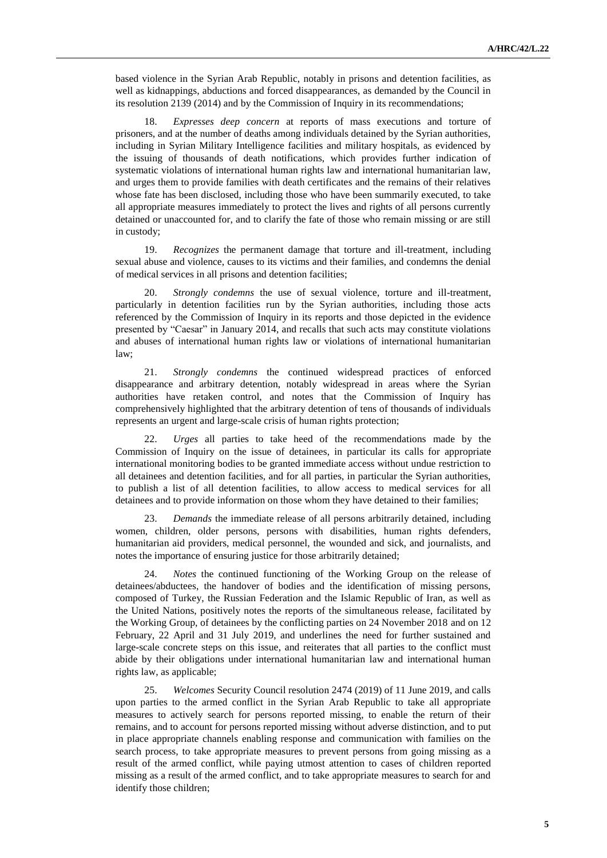based violence in the Syrian Arab Republic, notably in prisons and detention facilities, as well as kidnappings, abductions and forced disappearances, as demanded by the Council in its resolution 2139 (2014) and by the Commission of Inquiry in its recommendations;

18. *Expresses deep concern* at reports of mass executions and torture of prisoners, and at the number of deaths among individuals detained by the Syrian authorities, including in Syrian Military Intelligence facilities and military hospitals, as evidenced by the issuing of thousands of death notifications, which provides further indication of systematic violations of international human rights law and international humanitarian law, and urges them to provide families with death certificates and the remains of their relatives whose fate has been disclosed, including those who have been summarily executed, to take all appropriate measures immediately to protect the lives and rights of all persons currently detained or unaccounted for, and to clarify the fate of those who remain missing or are still in custody;

19. *Recognizes* the permanent damage that torture and ill-treatment, including sexual abuse and violence, causes to its victims and their families, and condemns the denial of medical services in all prisons and detention facilities;

20. *Strongly condemns* the use of sexual violence, torture and ill-treatment, particularly in detention facilities run by the Syrian authorities, including those acts referenced by the Commission of Inquiry in its reports and those depicted in the evidence presented by "Caesar" in January 2014, and recalls that such acts may constitute violations and abuses of international human rights law or violations of international humanitarian law;

21. *Strongly condemns* the continued widespread practices of enforced disappearance and arbitrary detention, notably widespread in areas where the Syrian authorities have retaken control, and notes that the Commission of Inquiry has comprehensively highlighted that the arbitrary detention of tens of thousands of individuals represents an urgent and large-scale crisis of human rights protection;

22. *Urges* all parties to take heed of the recommendations made by the Commission of Inquiry on the issue of detainees, in particular its calls for appropriate international monitoring bodies to be granted immediate access without undue restriction to all detainees and detention facilities, and for all parties, in particular the Syrian authorities, to publish a list of all detention facilities, to allow access to medical services for all detainees and to provide information on those whom they have detained to their families;

23. *Demands* the immediate release of all persons arbitrarily detained, including women, children, older persons, persons with disabilities, human rights defenders, humanitarian aid providers, medical personnel, the wounded and sick, and journalists, and notes the importance of ensuring justice for those arbitrarily detained;

24. *Notes* the continued functioning of the Working Group on the release of detainees/abductees, the handover of bodies and the identification of missing persons, composed of Turkey, the Russian Federation and the Islamic Republic of Iran, as well as the United Nations, positively notes the reports of the simultaneous release, facilitated by the Working Group, of detainees by the conflicting parties on 24 November 2018 and on 12 February, 22 April and 31 July 2019, and underlines the need for further sustained and large-scale concrete steps on this issue, and reiterates that all parties to the conflict must abide by their obligations under international humanitarian law and international human rights law, as applicable;

25. *Welcomes* Security Council resolution 2474 (2019) of 11 June 2019, and calls upon parties to the armed conflict in the Syrian Arab Republic to take all appropriate measures to actively search for persons reported missing, to enable the return of their remains, and to account for persons reported missing without adverse distinction, and to put in place appropriate channels enabling response and communication with families on the search process, to take appropriate measures to prevent persons from going missing as a result of the armed conflict, while paying utmost attention to cases of children reported missing as a result of the armed conflict, and to take appropriate measures to search for and identify those children;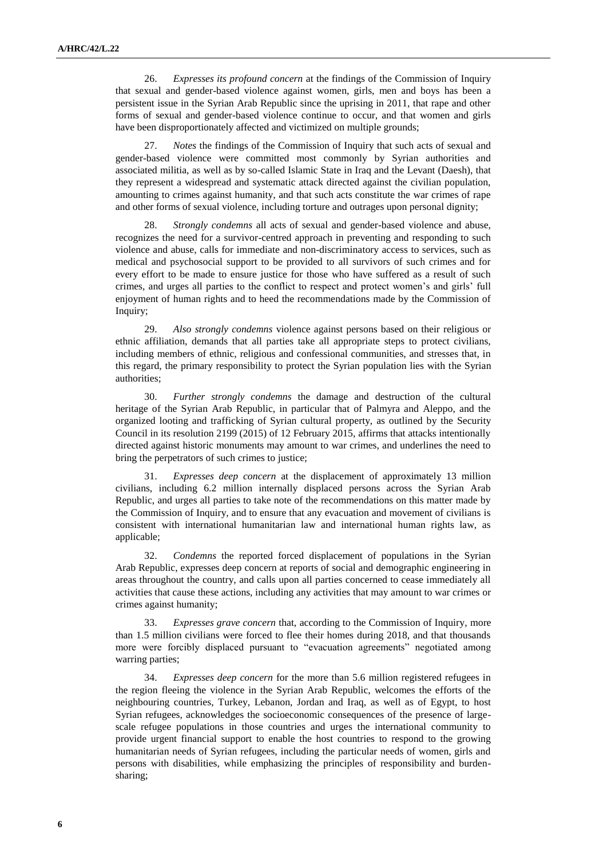26. *Expresses its profound concern* at the findings of the Commission of Inquiry that sexual and gender-based violence against women, girls, men and boys has been a persistent issue in the Syrian Arab Republic since the uprising in 2011, that rape and other forms of sexual and gender-based violence continue to occur, and that women and girls have been disproportionately affected and victimized on multiple grounds;

27. *Notes* the findings of the Commission of Inquiry that such acts of sexual and gender-based violence were committed most commonly by Syrian authorities and associated militia, as well as by so-called Islamic State in Iraq and the Levant (Daesh), that they represent a widespread and systematic attack directed against the civilian population, amounting to crimes against humanity, and that such acts constitute the war crimes of rape and other forms of sexual violence, including torture and outrages upon personal dignity;

28. *Strongly condemns* all acts of sexual and gender-based violence and abuse, recognizes the need for a survivor-centred approach in preventing and responding to such violence and abuse, calls for immediate and non-discriminatory access to services, such as medical and psychosocial support to be provided to all survivors of such crimes and for every effort to be made to ensure justice for those who have suffered as a result of such crimes, and urges all parties to the conflict to respect and protect women's and girls' full enjoyment of human rights and to heed the recommendations made by the Commission of Inquiry;

29. *Also strongly condemns* violence against persons based on their religious or ethnic affiliation, demands that all parties take all appropriate steps to protect civilians, including members of ethnic, religious and confessional communities, and stresses that, in this regard, the primary responsibility to protect the Syrian population lies with the Syrian authorities;

30. *Further strongly condemns* the damage and destruction of the cultural heritage of the Syrian Arab Republic, in particular that of Palmyra and Aleppo, and the organized looting and trafficking of Syrian cultural property, as outlined by the Security Council in its resolution 2199 (2015) of 12 February 2015, affirms that attacks intentionally directed against historic monuments may amount to war crimes, and underlines the need to bring the perpetrators of such crimes to justice;

31. *Expresses deep concern* at the displacement of approximately 13 million civilians, including 6.2 million internally displaced persons across the Syrian Arab Republic, and urges all parties to take note of the recommendations on this matter made by the Commission of Inquiry, and to ensure that any evacuation and movement of civilians is consistent with international humanitarian law and international human rights law, as applicable;

32. *Condemns* the reported forced displacement of populations in the Syrian Arab Republic, expresses deep concern at reports of social and demographic engineering in areas throughout the country, and calls upon all parties concerned to cease immediately all activities that cause these actions, including any activities that may amount to war crimes or crimes against humanity;

33. *Expresses grave concern* that, according to the Commission of Inquiry, more than 1.5 million civilians were forced to flee their homes during 2018, and that thousands more were forcibly displaced pursuant to "evacuation agreements" negotiated among warring parties;

34. *Expresses deep concern* for the more than 5.6 million registered refugees in the region fleeing the violence in the Syrian Arab Republic, welcomes the efforts of the neighbouring countries, Turkey, Lebanon, Jordan and Iraq, as well as of Egypt, to host Syrian refugees, acknowledges the socioeconomic consequences of the presence of largescale refugee populations in those countries and urges the international community to provide urgent financial support to enable the host countries to respond to the growing humanitarian needs of Syrian refugees, including the particular needs of women, girls and persons with disabilities, while emphasizing the principles of responsibility and burdensharing;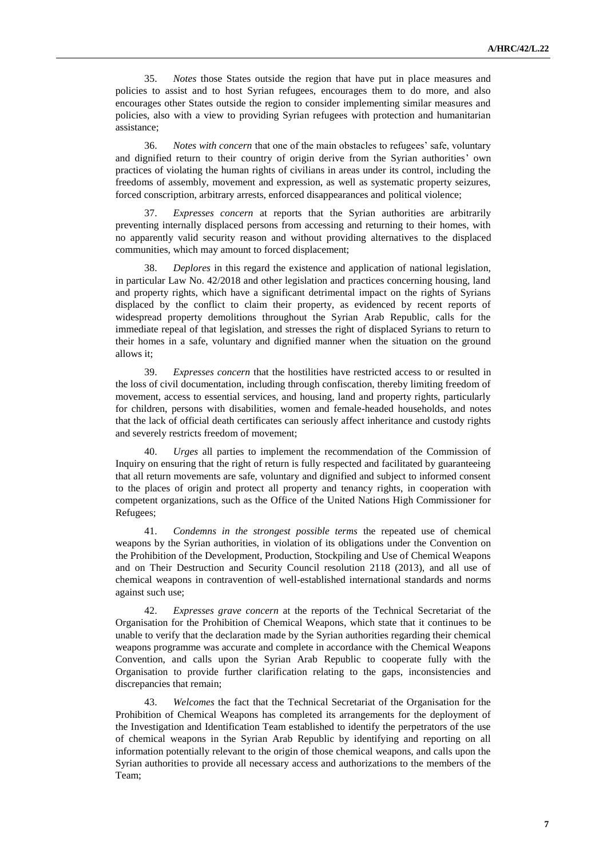35. *Notes* those States outside the region that have put in place measures and policies to assist and to host Syrian refugees, encourages them to do more, and also encourages other States outside the region to consider implementing similar measures and policies, also with a view to providing Syrian refugees with protection and humanitarian assistance;

36. *Notes with concern* that one of the main obstacles to refugees' safe, voluntary and dignified return to their country of origin derive from the Syrian authorities' own practices of violating the human rights of civilians in areas under its control, including the freedoms of assembly, movement and expression, as well as systematic property seizures, forced conscription, arbitrary arrests, enforced disappearances and political violence;

37. *Expresses concern* at reports that the Syrian authorities are arbitrarily preventing internally displaced persons from accessing and returning to their homes, with no apparently valid security reason and without providing alternatives to the displaced communities, which may amount to forced displacement;

38. *Deplores* in this regard the existence and application of national legislation, in particular Law No. 42/2018 and other legislation and practices concerning housing, land and property rights, which have a significant detrimental impact on the rights of Syrians displaced by the conflict to claim their property, as evidenced by recent reports of widespread property demolitions throughout the Syrian Arab Republic, calls for the immediate repeal of that legislation, and stresses the right of displaced Syrians to return to their homes in a safe, voluntary and dignified manner when the situation on the ground allows it;

39. *Expresses concern* that the hostilities have restricted access to or resulted in the loss of civil documentation, including through confiscation, thereby limiting freedom of movement, access to essential services, and housing, land and property rights, particularly for children, persons with disabilities, women and female-headed households, and notes that the lack of official death certificates can seriously affect inheritance and custody rights and severely restricts freedom of movement;

40. *Urges* all parties to implement the recommendation of the Commission of Inquiry on ensuring that the right of return is fully respected and facilitated by guaranteeing that all return movements are safe, voluntary and dignified and subject to informed consent to the places of origin and protect all property and tenancy rights, in cooperation with competent organizations, such as the Office of the United Nations High Commissioner for Refugees;

41. *Condemns in the strongest possible terms* the repeated use of chemical weapons by the Syrian authorities, in violation of its obligations under the Convention on the Prohibition of the Development, Production, Stockpiling and Use of Chemical Weapons and on Their Destruction and Security Council resolution 2118 (2013), and all use of chemical weapons in contravention of well-established international standards and norms against such use;

42. *Expresses grave concern* at the reports of the Technical Secretariat of the Organisation for the Prohibition of Chemical Weapons, which state that it continues to be unable to verify that the declaration made by the Syrian authorities regarding their chemical weapons programme was accurate and complete in accordance with the Chemical Weapons Convention, and calls upon the Syrian Arab Republic to cooperate fully with the Organisation to provide further clarification relating to the gaps, inconsistencies and discrepancies that remain;

43. *Welcomes* the fact that the Technical Secretariat of the Organisation for the Prohibition of Chemical Weapons has completed its arrangements for the deployment of the Investigation and Identification Team established to identify the perpetrators of the use of chemical weapons in the Syrian Arab Republic by identifying and reporting on all information potentially relevant to the origin of those chemical weapons, and calls upon the Syrian authorities to provide all necessary access and authorizations to the members of the Team;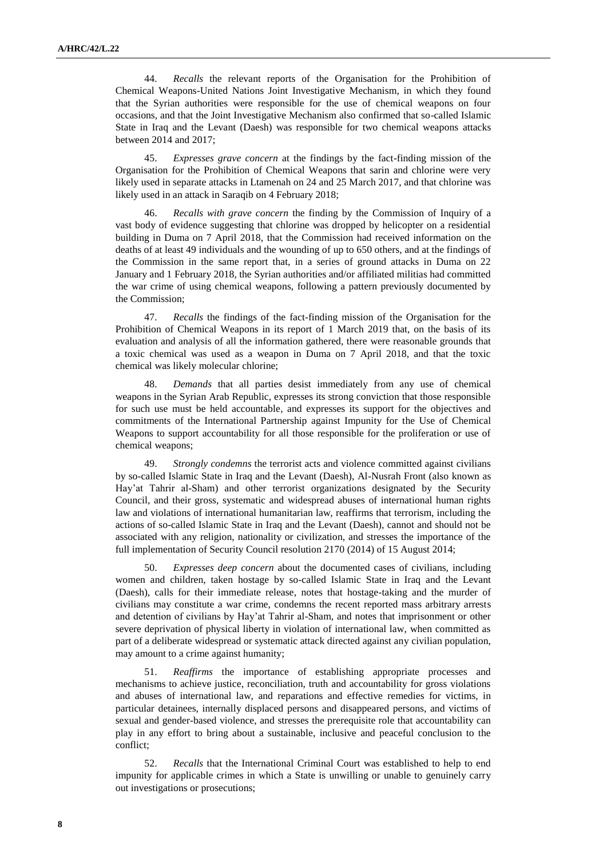44. *Recalls* the relevant reports of the Organisation for the Prohibition of Chemical Weapons-United Nations Joint Investigative Mechanism, in which they found that the Syrian authorities were responsible for the use of chemical weapons on four occasions, and that the Joint Investigative Mechanism also confirmed that so-called Islamic State in Iraq and the Levant (Daesh) was responsible for two chemical weapons attacks between 2014 and 2017;

45. *Expresses grave concern* at the findings by the fact-finding mission of the Organisation for the Prohibition of Chemical Weapons that sarin and chlorine were very likely used in separate attacks in Ltamenah on 24 and 25 March 2017, and that chlorine was likely used in an attack in Saraqib on 4 February 2018;

46. *Recalls with grave concern* the finding by the Commission of Inquiry of a vast body of evidence suggesting that chlorine was dropped by helicopter on a residential building in Duma on 7 April 2018, that the Commission had received information on the deaths of at least 49 individuals and the wounding of up to 650 others, and at the findings of the Commission in the same report that, in a series of ground attacks in Duma on 22 January and 1 February 2018, the Syrian authorities and/or affiliated militias had committed the war crime of using chemical weapons, following a pattern previously documented by the Commission;

47. *Recalls* the findings of the fact-finding mission of the Organisation for the Prohibition of Chemical Weapons in its report of 1 March 2019 that, on the basis of its evaluation and analysis of all the information gathered, there were reasonable grounds that a toxic chemical was used as a weapon in Duma on 7 April 2018, and that the toxic chemical was likely molecular chlorine;

48. *Demands* that all parties desist immediately from any use of chemical weapons in the Syrian Arab Republic, expresses its strong conviction that those responsible for such use must be held accountable, and expresses its support for the objectives and commitments of the International Partnership against Impunity for the Use of Chemical Weapons to support accountability for all those responsible for the proliferation or use of chemical weapons;

49. *Strongly condemns* the terrorist acts and violence committed against civilians by so-called Islamic State in Iraq and the Levant (Daesh), Al-Nusrah Front (also known as Hay'at Tahrir al-Sham) and other terrorist organizations designated by the Security Council, and their gross, systematic and widespread abuses of international human rights law and violations of international humanitarian law, reaffirms that terrorism, including the actions of so-called Islamic State in Iraq and the Levant (Daesh), cannot and should not be associated with any religion, nationality or civilization, and stresses the importance of the full implementation of Security Council resolution 2170 (2014) of 15 August 2014;

50. *Expresses deep concern* about the documented cases of civilians, including women and children, taken hostage by so-called Islamic State in Iraq and the Levant (Daesh), calls for their immediate release, notes that hostage-taking and the murder of civilians may constitute a war crime, condemns the recent reported mass arbitrary arrests and detention of civilians by Hay'at Tahrir al-Sham, and notes that imprisonment or other severe deprivation of physical liberty in violation of international law, when committed as part of a deliberate widespread or systematic attack directed against any civilian population, may amount to a crime against humanity;

51. *Reaffirms* the importance of establishing appropriate processes and mechanisms to achieve justice, reconciliation, truth and accountability for gross violations and abuses of international law, and reparations and effective remedies for victims, in particular detainees, internally displaced persons and disappeared persons, and victims of sexual and gender-based violence, and stresses the prerequisite role that accountability can play in any effort to bring about a sustainable, inclusive and peaceful conclusion to the conflict;

52. *Recalls* that the International Criminal Court was established to help to end impunity for applicable crimes in which a State is unwilling or unable to genuinely carry out investigations or prosecutions;